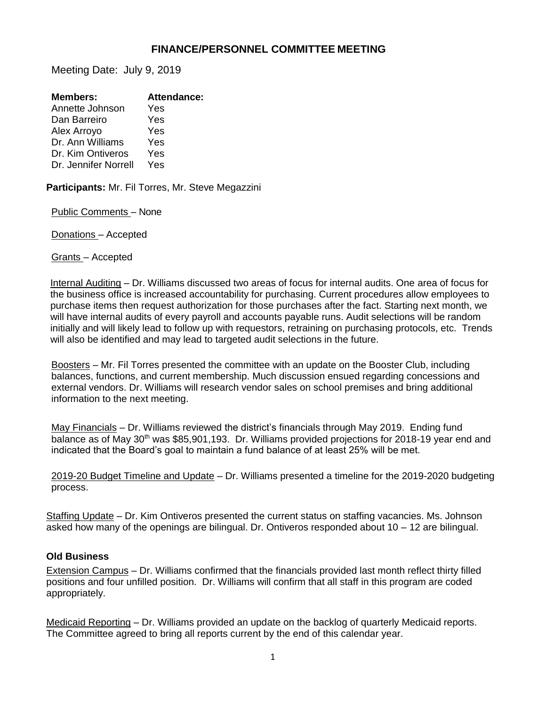## **FINANCE/PERSONNEL COMMITTEE MEETING**

Meeting Date: July 9, 2019

| <b>Members:</b>      | <b>Attendance:</b> |
|----------------------|--------------------|
| Annette Johnson      | Yes                |
| Dan Barreiro         | Yes                |
| Alex Arroyo          | Yes                |
| Dr. Ann Williams     | Yes                |
| Dr. Kim Ontiveros    | Yes                |
| Dr. Jennifer Norrell | Yes                |
|                      |                    |

**Participants:** Mr. Fil Torres, Mr. Steve Megazzini

Public Comments – None

Donations – Accepted

Grants – Accepted

Internal Auditing – Dr. Williams discussed two areas of focus for internal audits. One area of focus for the business office is increased accountability for purchasing. Current procedures allow employees to purchase items then request authorization for those purchases after the fact. Starting next month, we will have internal audits of every payroll and accounts payable runs. Audit selections will be random initially and will likely lead to follow up with requestors, retraining on purchasing protocols, etc. Trends will also be identified and may lead to targeted audit selections in the future.

Boosters – Mr. Fil Torres presented the committee with an update on the Booster Club, including balances, functions, and current membership. Much discussion ensued regarding concessions and external vendors. Dr. Williams will research vendor sales on school premises and bring additional information to the next meeting.

May Financials – Dr. Williams reviewed the district's financials through May 2019. Ending fund balance as of May 30<sup>th</sup> was \$85,901,193. Dr. Williams provided projections for 2018-19 year end and indicated that the Board's goal to maintain a fund balance of at least 25% will be met.

2019-20 Budget Timeline and Update – Dr. Williams presented a timeline for the 2019-2020 budgeting process.

Staffing Update – Dr. Kim Ontiveros presented the current status on staffing vacancies. Ms. Johnson asked how many of the openings are bilingual. Dr. Ontiveros responded about 10 – 12 are bilingual.

## **Old Business**

Extension Campus – Dr. Williams confirmed that the financials provided last month reflect thirty filled positions and four unfilled position. Dr. Williams will confirm that all staff in this program are coded appropriately.

Medicaid Reporting – Dr. Williams provided an update on the backlog of quarterly Medicaid reports. The Committee agreed to bring all reports current by the end of this calendar year.